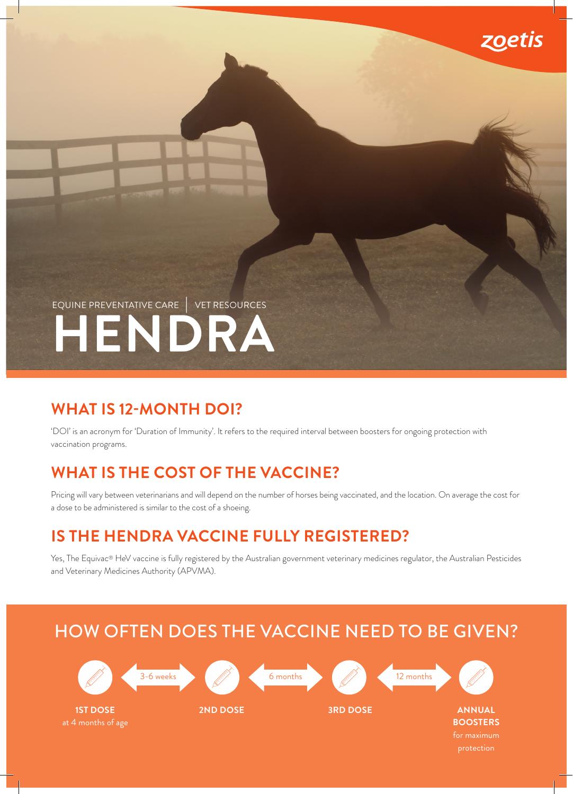

### **WHAT IS 12-MONTH DOI?**

'DOI' is an acronym for 'Duration of Immunity'. It refers to the required interval between boosters for ongoing protection with vaccination programs.

### **WHAT IS THE COST OF THE VACCINE?**

Pricing will vary between veterinarians and will depend on the number of horses being vaccinated, and the location. On average the cost for a dose to be administered is similar to the cost of a shoeing.

zoetis

## **IS THE HENDRA VACCINE FULLY REGISTERED?**

Yes, The Equivac® HeV vaccine is fully registered by the Australian government veterinary medicines regulator, the Australian Pesticides and Veterinary Medicines Authority (APVMA).

# HOW OFTEN DOES THE VACCINE NEED TO BE GIVEN?